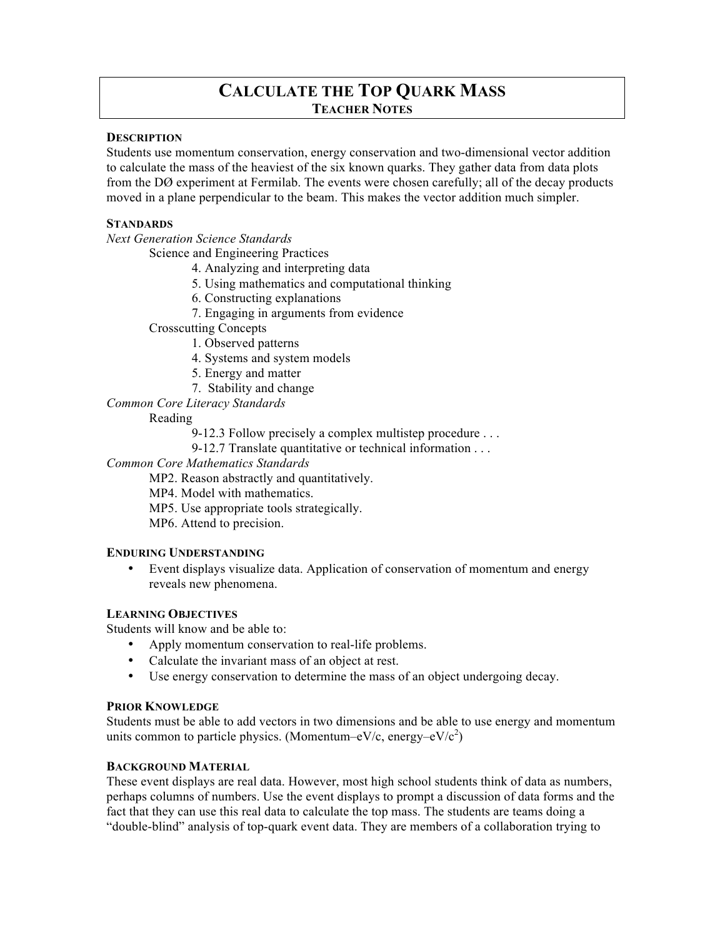# **CALCULATE THE TOP QUARK MASS TEACHER NOTES**

#### **DESCRIPTION**

Students use momentum conservation, energy conservation and two-dimensional vector addition to calculate the mass of the heaviest of the six known quarks. They gather data from data plots from the DØ experiment at Fermilab. The events were chosen carefully; all of the decay products moved in a plane perpendicular to the beam. This makes the vector addition much simpler.

#### **STANDARDS**

*Next Generation Science Standards*

Science and Engineering Practices

- 4. Analyzing and interpreting data
- 5. Using mathematics and computational thinking
- 6. Constructing explanations
- 7. Engaging in arguments from evidence
- Crosscutting Concepts
	- 1. Observed patterns
	- 4. Systems and system models
	- 5. Energy and matter
	- 7. Stability and change

*Common Core Literacy Standards*

#### Reading

9-12.3 Follow precisely a complex multistep procedure . . .

9-12.7 Translate quantitative or technical information . . .

*Common Core Mathematics Standards*

MP2. Reason abstractly and quantitatively.

- MP4. Model with mathematics.
- MP5. Use appropriate tools strategically.
- MP6. Attend to precision.

# **ENDURING UNDERSTANDING**

• Event displays visualize data. Application of conservation of momentum and energy reveals new phenomena.

# **LEARNING OBJECTIVES**

Students will know and be able to:

- Apply momentum conservation to real-life problems.
- Calculate the invariant mass of an object at rest.
- Use energy conservation to determine the mass of an object undergoing decay.

#### **PRIOR KNOWLEDGE**

Students must be able to add vectors in two dimensions and be able to use energy and momentum units common to particle physics. (Momentum–eV/c, energy–eV/ $c^2$ )

#### **BACKGROUND MATERIAL**

These event displays are real data. However, most high school students think of data as numbers, perhaps columns of numbers. Use the event displays to prompt a discussion of data forms and the fact that they can use this real data to calculate the top mass. The students are teams doing a "double-blind" analysis of top-quark event data. They are members of a collaboration trying to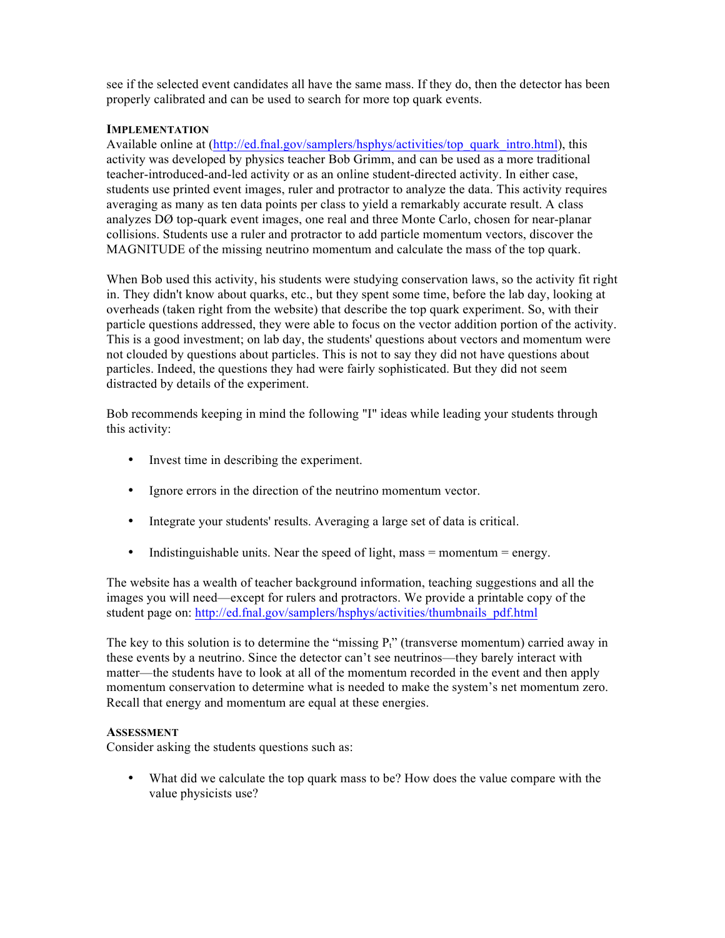see if the selected event candidates all have the same mass. If they do, then the detector has been properly calibrated and can be used to search for more top quark events.

#### **IMPLEMENTATION**

Available online at (http://ed.fnal.gov/samplers/hsphys/activities/top\_quark\_intro.html), this activity was developed by physics teacher Bob Grimm, and can be used as a more traditional teacher-introduced-and-led activity or as an online student-directed activity. In either case, students use printed event images, ruler and protractor to analyze the data. This activity requires averaging as many as ten data points per class to yield a remarkably accurate result. A class analyzes DØ top-quark event images, one real and three Monte Carlo, chosen for near-planar collisions. Students use a ruler and protractor to add particle momentum vectors, discover the MAGNITUDE of the missing neutrino momentum and calculate the mass of the top quark.

When Bob used this activity, his students were studying conservation laws, so the activity fit right in. They didn't know about quarks, etc., but they spent some time, before the lab day, looking at overheads (taken right from the website) that describe the top quark experiment. So, with their particle questions addressed, they were able to focus on the vector addition portion of the activity. This is a good investment; on lab day, the students' questions about vectors and momentum were not clouded by questions about particles. This is not to say they did not have questions about particles. Indeed, the questions they had were fairly sophisticated. But they did not seem distracted by details of the experiment.

Bob recommends keeping in mind the following "I" ideas while leading your students through this activity:

- Invest time in describing the experiment.
- Ignore errors in the direction of the neutrino momentum vector.
- Integrate your students' results. Averaging a large set of data is critical.
- Indistinguishable units. Near the speed of light, mass = momentum = energy.

The website has a wealth of teacher background information, teaching suggestions and all the images you will need—except for rulers and protractors. We provide a printable copy of the student page on: http://ed.fnal.gov/samplers/hsphys/activities/thumbnails\_pdf.html

The key to this solution is to determine the "missing  $P_t$ " (transverse momentum) carried away in these events by a neutrino. Since the detector can't see neutrinos—they barely interact with matter—the students have to look at all of the momentum recorded in the event and then apply momentum conservation to determine what is needed to make the system's net momentum zero. Recall that energy and momentum are equal at these energies.

#### **ASSESSMENT**

Consider asking the students questions such as:

• What did we calculate the top quark mass to be? How does the value compare with the value physicists use?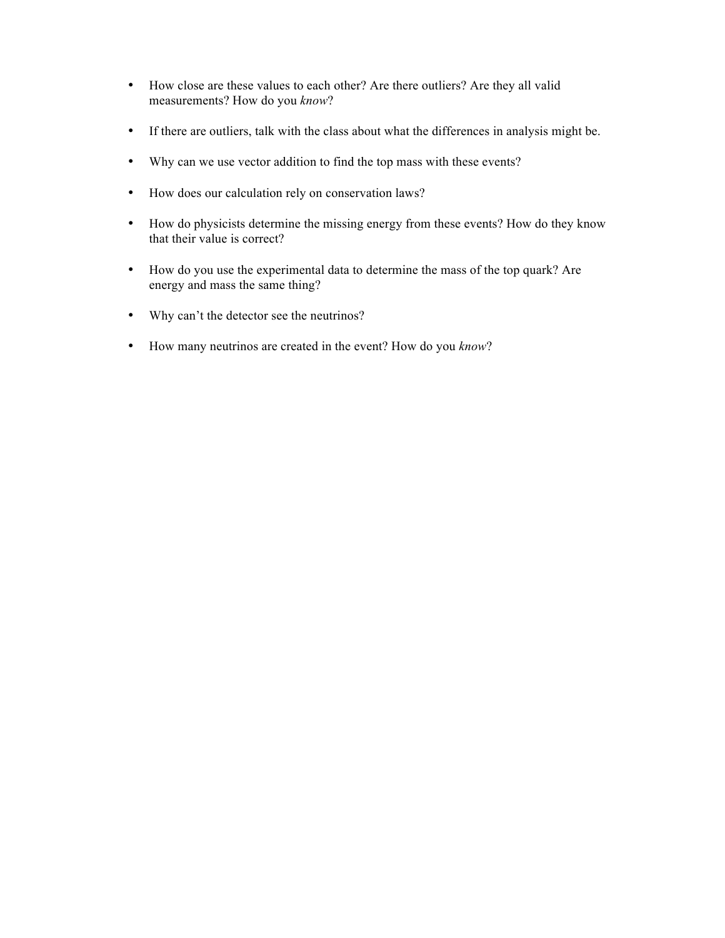- How close are these values to each other? Are there outliers? Are they all valid measurements? How do you *know*?
- If there are outliers, talk with the class about what the differences in analysis might be.
- Why can we use vector addition to find the top mass with these events?
- How does our calculation rely on conservation laws?
- How do physicists determine the missing energy from these events? How do they know that their value is correct?
- How do you use the experimental data to determine the mass of the top quark? Are energy and mass the same thing?
- Why can't the detector see the neutrinos?
- How many neutrinos are created in the event? How do you *know*?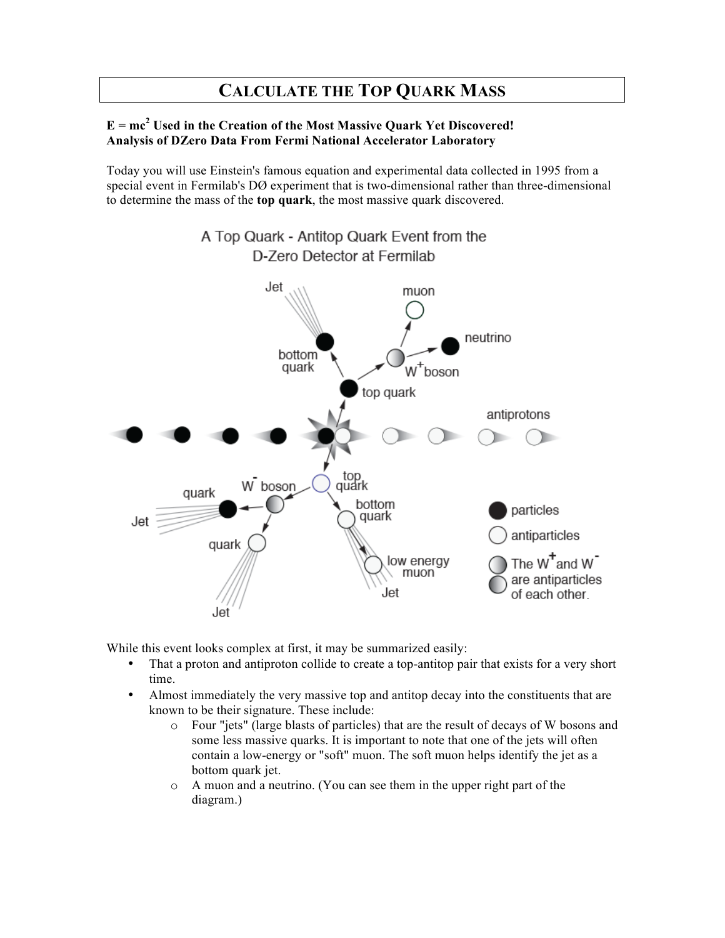# **CALCULATE THE TOP QUARK MASS**

# **E = mc<sup>2</sup> Used in the Creation of the Most Massive Quark Yet Discovered! Analysis of DZero Data From Fermi National Accelerator Laboratory**

Today you will use Einstein's famous equation and experimental data collected in 1995 from a special event in Fermilab's DØ experiment that is two-dimensional rather than three-dimensional to determine the mass of the **top quark**, the most massive quark discovered.



While this event looks complex at first, it may be summarized easily:

- That a proton and antiproton collide to create a top-antitop pair that exists for a very short time.
- Almost immediately the very massive top and antitop decay into the constituents that are known to be their signature. These include:
	- o Four "jets" (large blasts of particles) that are the result of decays of W bosons and some less massive quarks. It is important to note that one of the jets will often contain a low-energy or "soft" muon. The soft muon helps identify the jet as a bottom quark jet.
	- o A muon and a neutrino. (You can see them in the upper right part of the diagram.)